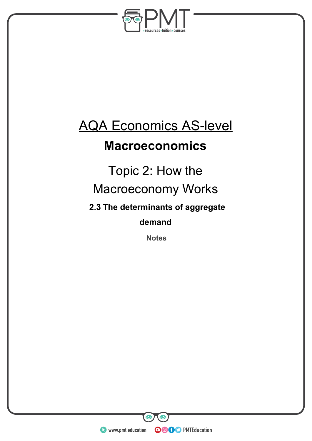

# AQA Economics AS-level

### **Macroeconomics**

## Topic 2: How the Macroeconomy Works

**2.3 The determinants of aggregate** 

**demand**

**Notes** 

**WWW.pmt.education**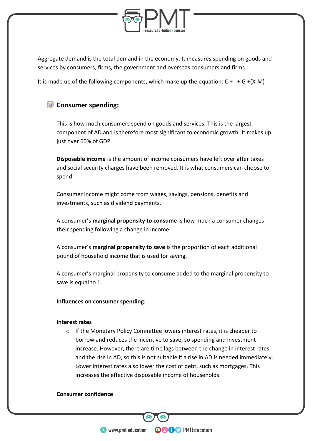

Aggregate demand is the total demand in the economy. It measures spending on goods and services by consumers, firms, the government and overseas consumers and firms.

It is made up of the following components, which make up the equation:  $C + I + G + (X-M)$ 

### **<u>Consumer</u>** spending:

This is how much consumers spend on goods and services. This is the largest component of AD and is therefore most significant to economic growth. It makes up just over 60% of GDP.

**Disposable income** is the amount of income consumers have left over after taxes and social security charges have been removed. It is what consumers can choose to spend.

Consumer income might come from wages, savings, pensions, benefits and investments, such as dividend payments.

A consumer's **marginal propensity to consume** is how much a consumer changes their spending following a change in income.

A consumer's **marginal propensity to save** is the proportion of each additional pound of household income that is used for saving.

A consumer's marginal propensity to consume added to the marginal propensity to save is equal to 1.

**Influences on consumer spending:**

#### **Interest rates**

o If the Monetary Policy Committee lowers interest rates, it is cheaper to borrow and reduces the incentive to save, so spending and investment increase. However, there are time lags between the change in interest rates and the rise in AD, so this is not suitable if a rise in AD is needed immediately. Lower interest rates also lower the cost of debt, such as mortgages. This increases the effective disposable income of households.

**OOOO** PMTEducation

#### **Consumer confidence**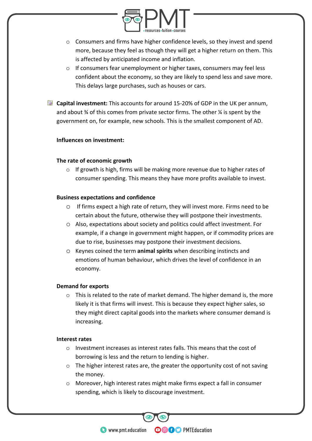

- o Consumers and firms have higher confidence levels, so they invest and spend more, because they feel as though they will get a higher return on them. This is affected by anticipated income and inflation.
- $\circ$  If consumers fear unemployment or higher taxes, consumers may feel less confident about the economy, so they are likely to spend less and save more. This delays large purchases, such as houses or cars.
- **Capital investment:** This accounts for around 15-20% of GDP in the UK per annum, and about  $\frac{3}{4}$  of this comes from private sector firms. The other  $\frac{1}{4}$  is spent by the government on, for example, new schools. This is the smallest component of AD.

#### **Influences on investment:**

#### **The rate of economic growth**

o If growth is high, firms will be making more revenue due to higher rates of consumer spending. This means they have more profits available to invest.

#### **Business expectations and confidence**

- o If firms expect a high rate of return, they will invest more. Firms need to be certain about the future, otherwise they will postpone their investments.
- o Also, expectations about society and politics could affect investment. For example, if a change in government might happen, or if commodity prices are due to rise, businesses may postpone their investment decisions.
- o Keynes coined the term **animal spirits** when describing instincts and emotions of human behaviour, which drives the level of confidence in an economy.

#### **Demand for exports**

o This is related to the rate of market demand. The higher demand is, the more likely it is that firms will invest. This is because they expect higher sales, so they might direct capital goods into the markets where consumer demand is increasing.

#### **Interest rates**

- o Investment increases as interest rates falls. This means that the cost of borrowing is less and the return to lending is higher.
- $\circ$  The higher interest rates are, the greater the opportunity cost of not saving the money.
- o Moreover, high interest rates might make firms expect a fall in consumer spending, which is likely to discourage investment.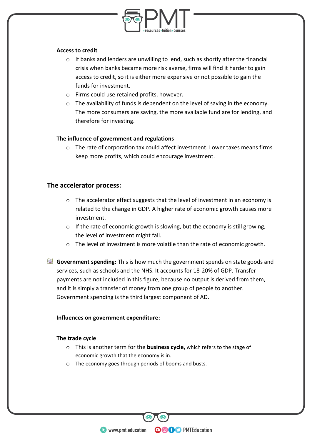

#### **Access to credit**

- $\circ$  If banks and lenders are unwilling to lend, such as shortly after the financial crisis when banks became more risk averse, firms will find it harder to gain access to credit, so it is either more expensive or not possible to gain the funds for investment.
- o Firms could use retained profits, however.
- o The availability of funds is dependent on the level of saving in the economy. The more consumers are saving, the more available fund are for lending, and therefore for investing.

#### **The influence of government and regulations**

 $\circ$  The rate of corporation tax could affect investment. Lower taxes means firms keep more profits, which could encourage investment.

#### **The accelerator process:**

- o The accelerator effect suggests that the level of investment in an economy is related to the change in GDP. A higher rate of economic growth causes more investment.
- o If the rate of economic growth is slowing, but the economy is still growing, the level of investment might fall.
- o The level of investment is more volatile than the rate of economic growth.
- **Government spending:** This is how much the government spends on state goods and services, such as schools and the NHS. It accounts for 18-20% of GDP. Transfer payments are not included in this figure, because no output is derived from them, and it is simply a transfer of money from one group of people to another. Government spending is the third largest component of AD.

#### **Influences on government expenditure:**

#### **The trade cycle**

o This is another term for the **business cycle,** which refers to the stage of economic growth that the economy is in.

**OOOO** PMTEducation

o The economy goes through periods of booms and busts.

**WWW.pmt.education**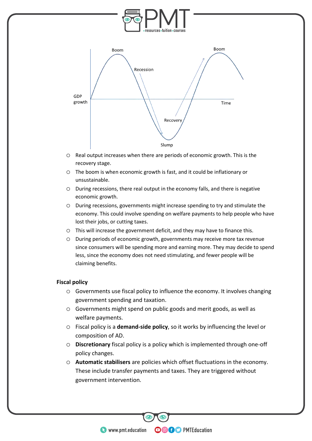

- o Real output increases when there are periods of economic growth. This is the recovery stage.
- o The boom is when economic growth is fast, and it could be inflationary or unsustainable.
- o During recessions, there real output in the economy falls, and there is negative economic growth.
- o During recessions, governments might increase spending to try and stimulate the economy. This could involve spending on welfare payments to help people who have lost their jobs, or cutting taxes.
- o This will increase the government deficit, and they may have to finance this.
- o During periods of economic growth, governments may receive more tax revenue since consumers will be spending more and earning more. They may decide to spend less, since the economy does not need stimulating, and fewer people will be claiming benefits.

#### **Fiscal policy**

- o Governments use fiscal policy to influence the economy. It involves changing government spending and taxation.
- o Governments might spend on public goods and merit goods, as well as welfare payments.
- o Fiscal policy is a **demand-side policy**, so it works by influencing the level or composition of AD.
- o **Discretionary** fiscal policy is a policy which is implemented through one-off policy changes.
- o **Automatic stabilisers** are policies which offset fluctuations in the economy. These include transfer payments and taxes. They are triggered without government intervention.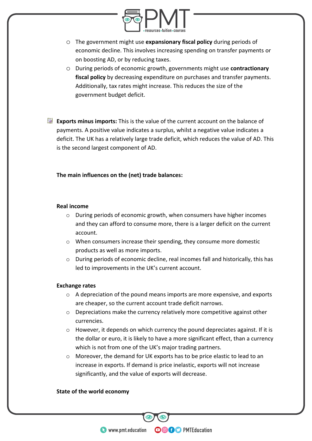

- o The government might use **expansionary fiscal policy** during periods of economic decline. This involves increasing spending on transfer payments or on boosting AD, or by reducing taxes.
- o During periods of economic growth, governments might use **contractionary fiscal policy** by decreasing expenditure on purchases and transfer payments. Additionally, tax rates might increase. This reduces the size of the government budget deficit.

**Exports minus imports:** This is the value of the current account on the balance of payments. A positive value indicates a surplus, whilst a negative value indicates a deficit. The UK has a relatively large trade deficit, which reduces the value of AD. This is the second largest component of AD.

#### **The main influences on the (net) trade balances:**

#### **Real income**

- $\circ$  During periods of economic growth, when consumers have higher incomes and they can afford to consume more, there is a larger deficit on the current account.
- o When consumers increase their spending, they consume more domestic products as well as more imports.
- $\circ$  During periods of economic decline, real incomes fall and historically, this has led to improvements in the UK's current account.

#### **Exchange rates**

- o A depreciation of the pound means imports are more expensive, and exports are cheaper, so the current account trade deficit narrows.
- o Depreciations make the currency relatively more competitive against other currencies.
- o However, it depends on which currency the pound depreciates against. If it is the dollar or euro, it is likely to have a more significant effect, than a currency which is not from one of the UK's major trading partners.

**OOOO** PMTEducation

o Moreover, the demand for UK exports has to be price elastic to lead to an increase in exports. If demand is price inelastic, exports will not increase significantly, and the value of exports will decrease.

#### **State of the world economy**